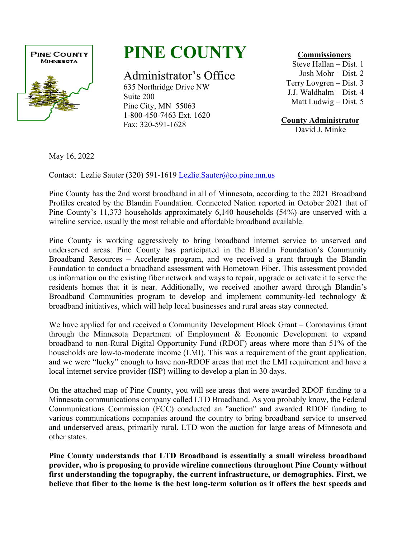

## **PINE COUNTY**

Administrator's Office

635 Northridge Drive NW Suite 200 Pine City, MN 55063 1-800-450-7463 Ext. 1620 Fax: 320-591-1628

 **Commissioners**

Steve Hallan – Dist. 1 Josh Mohr – Dist. 2 Terry Lovgren – Dist. 3 J.J. Waldhalm – Dist. 4 Matt Ludwig – Dist. 5

**County Administrator** 

David J. Minke

May 16, 2022

Contact: Lezlie Sauter (320) 591-1619 [Lezlie.Sauter@co.pine.mn.us](mailto:Lezlie.Sauter@co.pine.mn.us) 

Pine County has the 2nd worst broadband in all of Minnesota, according to the 2021 Broadband Profiles created by the Blandin Foundation. Connected Nation reported in October 2021 that of Pine County's 11,373 households approximately 6,140 households (54%) are unserved with a wireline service, usually the most reliable and affordable broadband available.

Pine County is working aggressively to bring broadband internet service to unserved and underserved areas. Pine County has participated in the Blandin Foundation's Community Broadband Resources – Accelerate program, and we received a grant through the Blandin Foundation to conduct a broadband assessment with Hometown Fiber. This assessment provided us information on the existing fiber network and ways to repair, upgrade or activate it to serve the residents homes that it is near. Additionally, we received another award through Blandin's Broadband Communities program to develop and implement community-led technology & broadband initiatives, which will help local businesses and rural areas stay connected.

We have applied for and received a Community Development Block Grant – Coronavirus Grant through the Minnesota Department of Employment & Economic Development to expand broadband to non-Rural Digital Opportunity Fund (RDOF) areas where more than 51% of the households are low-to-moderate income (LMI). This was a requirement of the grant application, and we were "lucky" enough to have non-RDOF areas that met the LMI requirement and have a local internet service provider (ISP) willing to develop a plan in 30 days.

On the attached map of Pine County, you will see areas that were awarded RDOF funding to a Minnesota communications company called LTD Broadband. As you probably know, the Federal Communications Commission (FCC) conducted an "auction" and awarded RDOF funding to various communications companies around the country to bring broadband service to unserved and underserved areas, primarily rural. LTD won the auction for large areas of Minnesota and other states.

**Pine County understands that LTD Broadband is essentially a small wireless broadband provider, who is proposing to provide wireline connections throughout Pine County without first understanding the topography, the current infrastructure, or demographics. First, we believe that fiber to the home is the best long-term solution as it offers the best speeds and**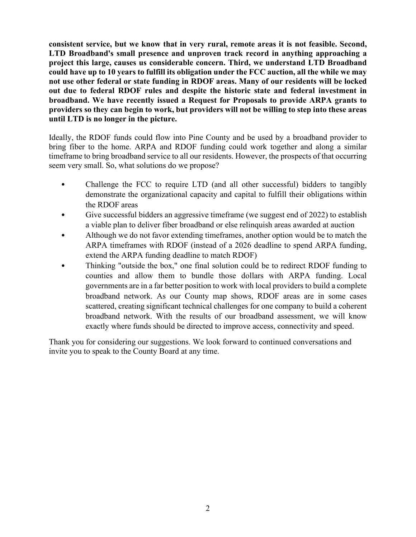**consistent service, but we know that in very rural, remote areas it is not feasible. Second, LTD Broadband's small presence and unproven track record in anything approaching a project this large, causes us considerable concern. Third, we understand LTD Broadband could have up to 10 years to fulfill its obligation under the FCC auction, all the while we may not use other federal or state funding in RDOF areas. Many of our residents will be locked out due to federal RDOF rules and despite the historic state and federal investment in broadband. We have recently issued a Request for Proposals to provide ARPA grants to providers so they can begin to work, but providers will not be willing to step into these areas until LTD is no longer in the picture.**

Ideally, the RDOF funds could flow into Pine County and be used by a broadband provider to bring fiber to the home. ARPA and RDOF funding could work together and along a similar timeframe to bring broadband service to all our residents. However, the prospects of that occurring seem very small. So, what solutions do we propose?

- Challenge the FCC to require LTD (and all other successful) bidders to tangibly demonstrate the organizational capacity and capital to fulfill their obligations within the RDOF areas
- Give successful bidders an aggressive timeframe (we suggest end of 2022) to establish a viable plan to deliver fiber broadband or else relinquish areas awarded at auction
- Although we do not favor extending timeframes, another option would be to match the ARPA timeframes with RDOF (instead of a 2026 deadline to spend ARPA funding, extend the ARPA funding deadline to match RDOF)
- Thinking "outside the box," one final solution could be to redirect RDOF funding to counties and allow them to bundle those dollars with ARPA funding. Local governments are in a far better position to work with local providers to build a complete broadband network. As our County map shows, RDOF areas are in some cases scattered, creating significant technical challenges for one company to build a coherent broadband network. With the results of our broadband assessment, we will know exactly where funds should be directed to improve access, connectivity and speed.

Thank you for considering our suggestions. We look forward to continued conversations and invite you to speak to the County Board at any time.